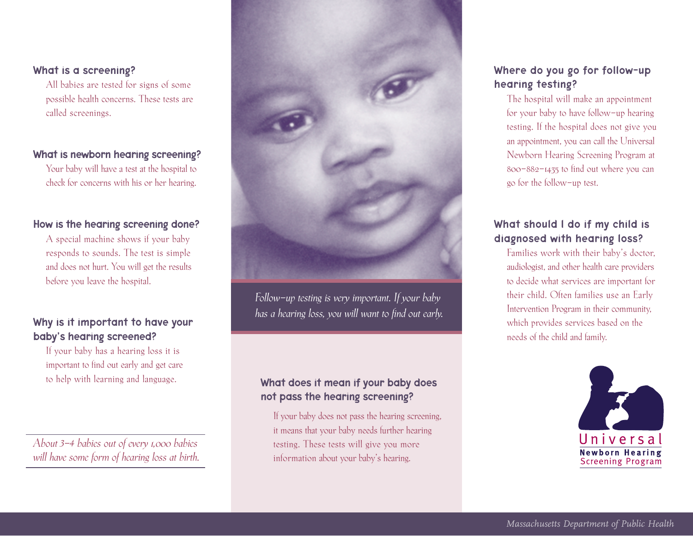### What is a screening?

All babies are tested for signs of some possible health concerns. These tests are called screenings.

### What is newborn hearing screening?

Your baby will have a test at the hospital to check for concerns with his or her hearing.

### How is the hearing screening done?

A special machine shows if your baby responds to sounds. The test is simple and does not hurt. You will get the results before you leave the hospital.

## Why is it important to have your baby's hearing screened?

If your baby has a hearing loss it is important to find out early and get care

*About 3-4 babies out of every 1,000 babies will have some form of hearing loss at birth.*



*Follow-up testing is very important. If your baby has a hearing loss, you will want to find out early.* 

# to help with learning and language. What does it mean if your baby does not pass the hearing screening?

If your baby does not pass the hearing screening, it means that your baby needs further hearing testing. These tests will give you more information about your baby's hearing.

## Where do you go for follow-up hearing testing?

The hospital will make an appointment for your baby to have follow-up hearing testing. If the hospital does not give you an appointment, you can call the Universal Newborn Hearing Screening Program at 800-882-1435 to find out where you can go for the follow-up test.

# What should l do if my child is diagnosed with hearing loss?

Families work with their baby's doctor, audiologist, and other health care providers to decide what services are important for their child. Often families use an Early Intervention Program in their community, which provides services based on the needs of the child and family.